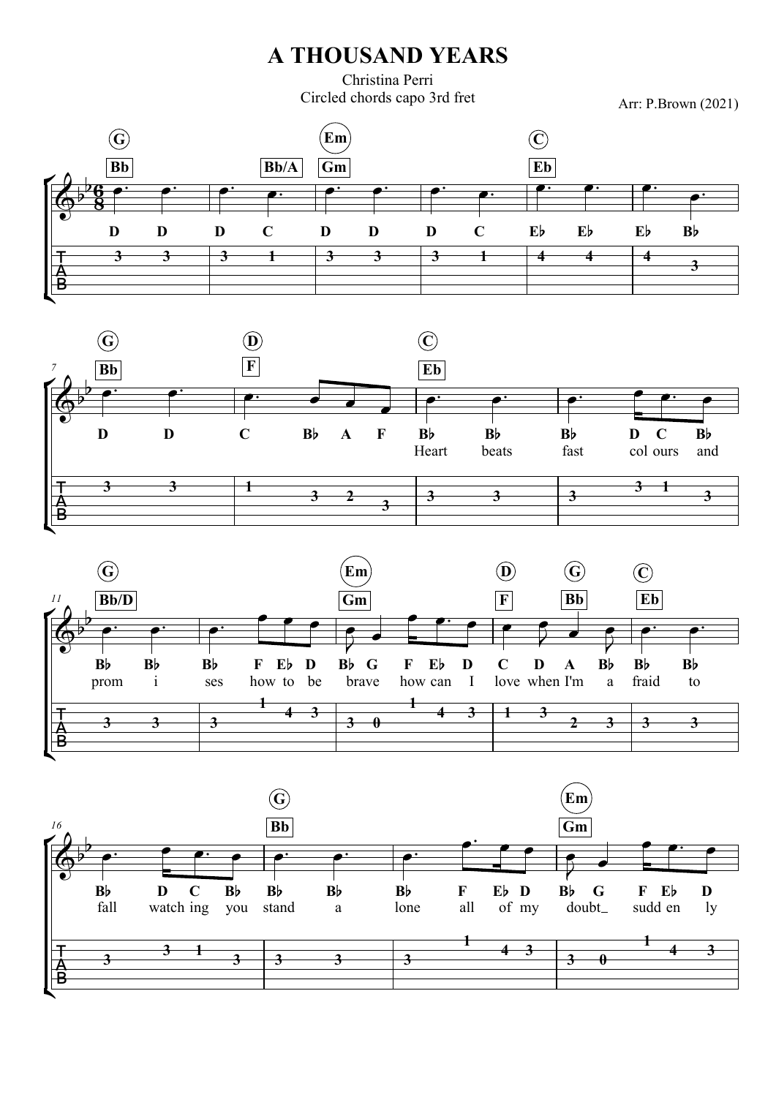## A THOUSAND YEARS

Christina Perri Circled chords capo 3rd fret

Arr: P.Brown (2021)







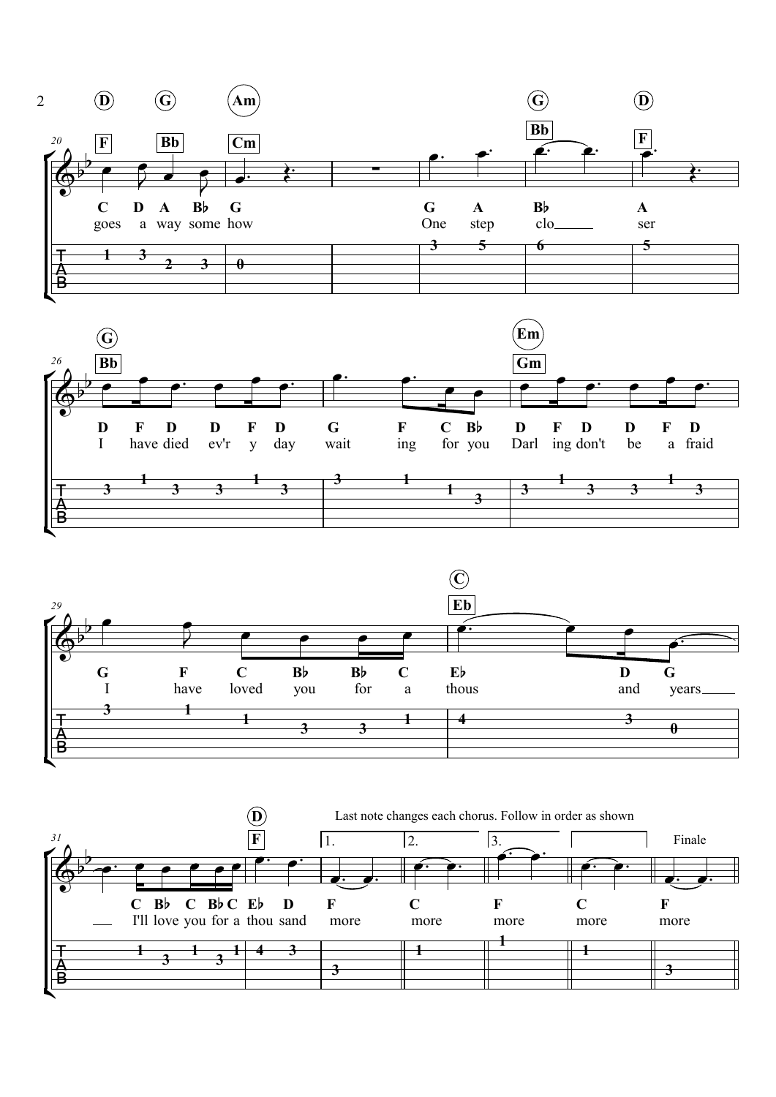